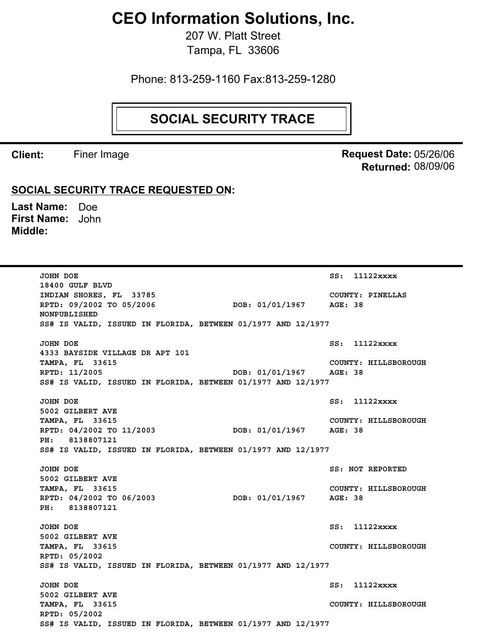## **CEO Information Solutions, Inc.**

207 W. Platt Street Tampa, FL 33606

Phone: 813-259-1160 Fax:813-259-1280

## **SOCIAL SECURITY TRACE**

**Client:** Finer Image

**Request Date:** 05/26/06 08/09/06 **Returned:**

## **SOCIAL SECURITY TRACE REQUESTED ON:**

Last Name: Doe First Name: John **Middle:**

> **JOHN DOE SS: 11122xxxx 18400 GULF BLVD INDIAN SHORES, FL 33785 COUNTY: PINELLAS RPTD: 09/2002 TO 05/2006 DOB: 01/01/1967 AGE: 38 NONPUBLISHED SS# IS VALID, ISSUED IN FLORIDA, BETWEEN 01/1977 AND 12/1977 JOHN DOE** SS: 11122xxxx **4333 BAYSIDE VILLAGE DR APT 101 TAMPA, FL 33615 COUNTY: HILLSBOROUGH RPTD: 11/2005 DOB: 01/01/1967 AGE: 38 SS# IS VALID, ISSUED IN FLORIDA, BETWEEN 01/1977 AND 12/1977 JOHN DOE SS: 11122xxxx 5002 GILBERT AVE TAMPA, FL 33615 COUNTY: HILLSBOROUGH RPTD: 04/2002 TO 11/2003 DOB: 01/01/1967 AGE: 38 PH: 8138807121 SS# IS VALID, ISSUED IN FLORIDA, BETWEEN 01/1977 AND 12/1977 JOHN DOE** SS: NOT REPORTED **5002 GILBERT AVE TAMPA, FL 33615 COUNTY: HILLSBOROUGH RPTD: 04/2002 TO 06/2003 DOB: 01/01/1967 AGE: 38 PH: 8138807121 JOHN DOE SS: 11122xxxx 5002 GILBERT AVE TAMPA, FL 33615 COUNTY: HILLSBOROUGH RPTD: 05/2002 SS# IS VALID, ISSUED IN FLORIDA, BETWEEN 01/1977 AND 12/1977 JOHN DOE SS: 11122xxxx 5002 GILBERT AVE TAMPA, FL 33615 COUNTY: HILLSBOROUGH RPTD: 05/2002 SS# IS VALID, ISSUED IN FLORIDA, BETWEEN 01/1977 AND 12/1977**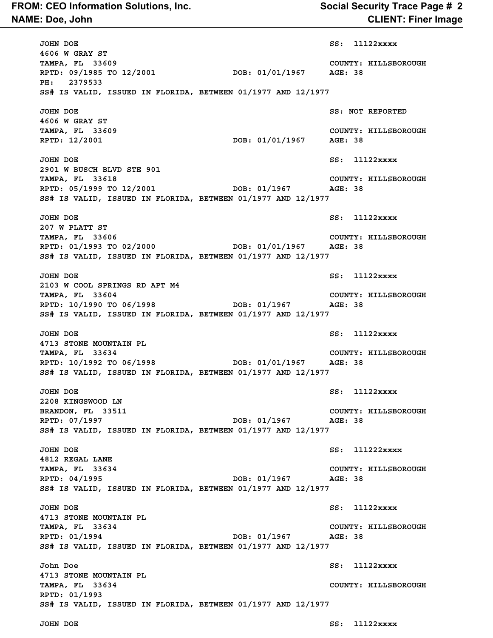## **NAME: Doe, John CLIENT: Finer Image FROM: CEO Information Solutions, Inc. Social Security Trace Page # 2**

**JOHN DOE SS: 11122xxxx 4606 W GRAY ST TAMPA, FL 33609 COUNTY: HILLSBOROUGH RPTD: 09/1985 TO 12/2001 DOB: 01/01/1967 AGE: 38 PH: 2379533 SS# IS VALID, ISSUED IN FLORIDA, BETWEEN 01/1977 AND 12/1977 JOHN DOE SS: NOT REPORTED 4606 W GRAY ST TAMPA, FL 33609 COUNTY: HILLSBOROUGH RPTD: 12/2001 DOB: 01/01/1967 AGE: 38 JOHN DOE** SS: 11122xxxx **2901 W BUSCH BLVD STE 901 TAMPA, FL 33618 COUNTY: HILLSBOROUGH RPTD: 05/1999 TO 12/2001 DOB: 01/1967 AGE: 38 SS# IS VALID, ISSUED IN FLORIDA, BETWEEN 01/1977 AND 12/1977 JOHN DOE SS: 11122xxxx 207 W PLATT ST TAMPA, FL 33606 COUNTY: HILLSBOROUGH RPTD: 01/1993 TO 02/2000 DOB: 01/01/1967 AGE: 38 SS# IS VALID, ISSUED IN FLORIDA, BETWEEN 01/1977 AND 12/1977 JOHN DOE SS: 11122xxxx 2103 W COOL SPRINGS RD APT M4 TAMPA, FL 33604 COUNTY: HILLSBOROUGH RPTD: 10/1990 TO 06/1998 DOB: 01/1967 AGE: 38 SS# IS VALID, ISSUED IN FLORIDA, BETWEEN 01/1977 AND 12/1977 JOHN DOE SS: 11122xxxx 4713 STONE MOUNTAIN PL TAMPA, FL 33634 COUNTY: HILLSBOROUGH RPTD: 10/1992 TO 06/1998 DOB: 01/01/1967 AGE: 38 SS# IS VALID, ISSUED IN FLORIDA, BETWEEN 01/1977 AND 12/1977 JOHN DOE** SS: 11122xxxx **2208 KINGSWOOD LN BRANDON, FL 33511 COUNTY: HILLSBOROUGH RPTD: 07/1997 DOB: 01/1967 AGE: 38 SS# IS VALID, ISSUED IN FLORIDA, BETWEEN 01/1977 AND 12/1977 JOHN DOE SS: 111222xxxx 4812 REGAL LANE TAMPA, FL 33634 COUNTY: HILLSBOROUGH RPTD: 04/1995 DOB: 01/1967 AGE: 38 SS# IS VALID, ISSUED IN FLORIDA, BETWEEN 01/1977 AND 12/1977 JOHN DOE SS: 11122xxxx 4713 STONE MOUNTAIN PL TAMPA, FL 33634 COUNTY: HILLSBOROUGH RPTD: 01/1994 DOB: 01/1967 AGE: 38 SS# IS VALID, ISSUED IN FLORIDA, BETWEEN 01/1977 AND 12/1977 John Doe SS: 11122xxxx 4713 STONE MOUNTAIN PL TAMPA, FL 33634 COUNTY: HILLSBOROUGH RPTD: 01/1993 SS# IS VALID, ISSUED IN FLORIDA, BETWEEN 01/1977 AND 12/1977**